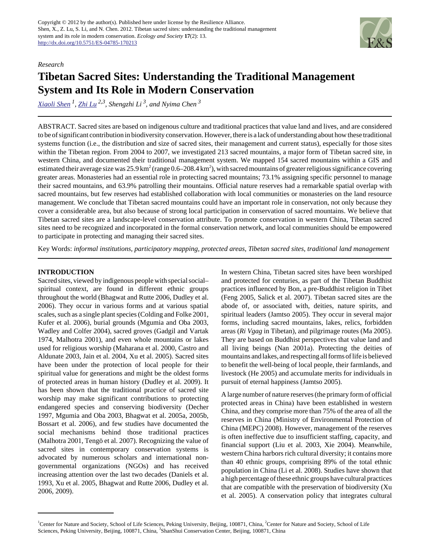

### *Research*

# **Tibetan Sacred Sites: Understanding the Traditional Management System and Its Role in Modern Conservation**

*[Xiaoli Shen](mailto:xlshen.pku@gmail.com)<sup>1</sup> , [Zhi Lu](mailto:luzhi@pku.edu.cn) 2,3 , Shengzhi Li 3, and Nyima Chen<sup>3</sup>*

ABSTRACT. Sacred sites are based on indigenous culture and traditional practices that value land and lives, and are considered to be of significant contribution in biodiversity conservation. However, there is a lack of understanding about how these traditional systems function (i.e., the distribution and size of sacred sites, their management and current status), especially for those sites within the Tibetan region. From 2004 to 2007, we investigated 213 sacred mountains, a major form of Tibetan sacred site, in western China, and documented their traditional management system. We mapped 154 sacred mountains within a GIS and estimated their average size was 25.9 km<sup>2</sup> (range 0.6–208.4 km<sup>2</sup>), with sacred mountains of greater religious significance covering greater areas. Monasteries had an essential role in protecting sacred mountains; 73.1% assigning specific personnel to manage their sacred mountains, and 63.9% patrolling their mountains. Official nature reserves had a remarkable spatial overlap with sacred mountains, but few reserves had established collaboration with local communities or monasteries on the land resource management. We conclude that Tibetan sacred mountains could have an important role in conservation, not only because they cover a considerable area, but also because of strong local participation in conservation of sacred mountains. We believe that Tibetan sacred sites are a landscape-level conservation attribute. To promote conservation in western China, Tibetan sacred sites need to be recognized and incorporated in the formal conservation network, and local communities should be empowered to participate in protecting and managing their sacred sites.

Key Words: *informal institutions, participatory mapping, protected areas, Tibetan sacred sites, traditional land management*

## **INTRODUCTION**

Sacred sites, viewed by indigenous people with special social– spiritual context, are found in different ethnic groups throughout the world (Bhagwat and Rutte 2006, Dudley et al. 2006). They occur in various forms and at various spatial scales, such as a single plant species (Colding and Folke 2001, Kufer et al. 2006), burial grounds (Mgumia and Oba 2003, Wadley and Colfer 2004), sacred groves (Gadgil and Vartak 1974, Malhotra 2001), and even whole mountains or lakes used for religious worship (Maharana et al. 2000, Castro and Aldunate 2003, Jain et al. 2004, Xu et al. 2005). Sacred sites have been under the protection of local people for their spiritual value for generations and might be the oldest forms of protected areas in human history (Dudley et al. 2009). It has been shown that the traditional practice of sacred site worship may make significant contributions to protecting endangered species and conserving biodiversity (Decher 1997, Mgumia and Oba 2003, Bhagwat et al. 2005a, 2005b, Bossart et al. 2006), and few studies have documented the social mechanisms behind those traditional practices (Malhotra 2001, Tengö et al. 2007). Recognizing the value of sacred sites in contemporary conservation systems is advocated by numerous scholars and international nongovernmental organizations (NGOs) and has received increasing attention over the last two decades (Daniels et al. 1993, Xu et al. 2005, Bhagwat and Rutte 2006, Dudley et al. 2006, 2009).

In western China, Tibetan sacred sites have been worshiped and protected for centuries, as part of the Tibetan Buddhist practices influenced by Bon, a pre-Buddhist religion in Tibet (Feng 2005, Salick et al. 2007). Tibetan sacred sites are the abode of, or associated with, deities, nature spirits, and spiritual leaders (Jamtso 2005). They occur in several major forms, including sacred mountains, lakes, relics, forbidden areas (*Ri Vgag* in Tibetan), and pilgrimage routes (Ma 2005). They are based on Buddhist perspectives that value land and all living beings (Nan 2001a). Protecting the deities of mountains and lakes, and respecting all forms of life is believed to benefit the well-being of local people, their farmlands, and livestock (He 2005) and accumulate merits for individuals in pursuit of eternal happiness (Jamtso 2005).

A large number of nature reserves (the primary form of official protected areas in China) have been established in western China, and they comprise more than 75% of the area of all the reserves in China (Ministry of Environmental Protection of China (MEPC) 2008). However, management of the reserves is often ineffective due to insufficient staffing, capacity, and financial support (Liu et al. 2003, Xie 2004). Meanwhile, western China harbors rich cultural diversity; it contains more than 40 ethnic groups, comprising 89% of the total ethnic population in China (Li et al. 2008). Studies have shown that a high percentage of these ethnic groups have cultural practices that are compatible with the preservation of biodiversity (Xu et al. 2005). A conservation policy that integrates cultural

<sup>&</sup>lt;sup>1</sup>Center for Nature and Society, School of Life Sciences, Peking University, Beijing, 100871, China, <sup>2</sup>Center for Nature and Society, School of Life Sciences, Peking University, Beijing, 100871, China, <sup>3</sup>ShanShui Conservation Center, Beijing, 100871, China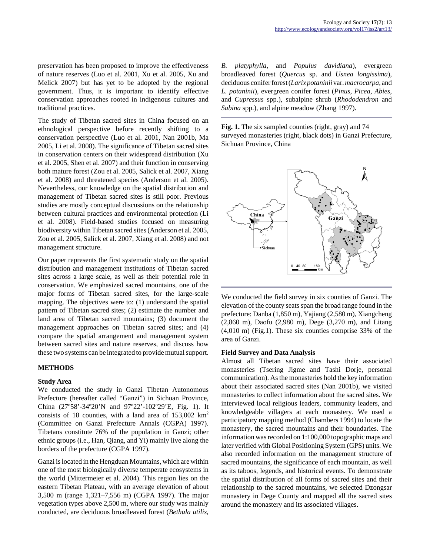preservation has been proposed to improve the effectiveness of nature reserves (Luo et al. 2001, Xu et al. 2005, Xu and Melick 2007) but has yet to be adopted by the regional government. Thus, it is important to identify effective conservation approaches rooted in indigenous cultures and traditional practices.

The study of Tibetan sacred sites in China focused on an ethnological perspective before recently shifting to a conservation perspective (Luo et al. 2001, Nan 2001b, Ma 2005, Li et al. 2008). The significance of Tibetan sacred sites in conservation centers on their widespread distribution (Xu et al. 2005, Shen et al. 2007) and their function in conserving both mature forest (Zou et al. 2005, Salick et al. 2007, Xiang et al. 2008) and threatened species (Anderson et al. 2005). Nevertheless, our knowledge on the spatial distribution and management of Tibetan sacred sites is still poor. Previous studies are mostly conceptual discussions on the relationship between cultural practices and environmental protection (Li et al. 2008). Field-based studies focused on measuring biodiversity within Tibetan sacred sites (Anderson et al. 2005, Zou et al. 2005, Salick et al. 2007, Xiang et al. 2008) and not management structure.

Our paper represents the first systematic study on the spatial distribution and management institutions of Tibetan sacred sites across a large scale, as well as their potential role in conservation. We emphasized sacred mountains, one of the major forms of Tibetan sacred sites, for the large-scale mapping. The objectives were to: (1) understand the spatial pattern of Tibetan sacred sites; (2) estimate the number and land area of Tibetan sacred mountains; (3) document the management approaches on Tibetan sacred sites; and (4) compare the spatial arrangement and management system between sacred sites and nature reserves, and discuss how these two systems can be integrated to provide mutual support.

### **METHODS**

#### **Study Area**

We conducted the study in Ganzi Tibetan Autonomous Prefecture (hereafter called "Ganzi") in Sichuan Province, China (27º58'-34º20'N and 97º22'-102º29'E, Fig. 1). It consists of 18 counties, with a land area of  $153,002 \text{ km}^2$ (Committee on Ganzi Prefecture Annals (CGPA) 1997). Tibetans constitute 76% of the population in Ganzi; other ethnic groups (i.e., Han, Qiang, and Yi) mainly live along the borders of the prefecture (CGPA 1997).

Ganzi is located in the Hengduan Mountains, which are within one of the most biologically diverse temperate ecosystems in the world (Mittermeier et al. 2004). This region lies on the eastern Tibetan Plateau, with an average elevation of about 3,500 m (range 1,321–7,556 m) (CGPA 1997). The major vegetation types above 2,500 m, where our study was mainly conducted, are deciduous broadleaved forest (*Bethula utilis*, *B. platyphylla*, and *Populus davidiana*), evergreen broadleaved forest (*Quercus* sp. and *Usnea longissima*), deciduous conifer forest (*Larix potaninii* var. *macrocarpa*, and *L. potaninii*), evergreen conifer forest (*Pinus*, *Picea*, *Abies*, and *Cupressus* spp.), subalpine shrub (*Rhododendron* and *Sabina* spp.), and alpine meadow (Zhang 1997).

**Fig. 1.** The six sampled counties (right, gray) and 74 surveyed monasteries (right, black dots) in Ganzi Prefecture, Sichuan Province, China



We conducted the field survey in six counties of Ganzi. The elevation of the county seats span the broad range found in the prefecture: Danba (1,850 m), Yajiang (2,580 m), Xiangcheng (2,860 m), Daofu (2,980 m), Dege (3,270 m), and Litang (4,010 m) (Fig.1). These six counties comprise 33% of the area of Ganzi.

#### **Field Survey and Data Analysis**

Almost all Tibetan sacred sites have their associated monasteries (Tsering Jigme and Tashi Dorje, personal communication). As the monasteries hold the key information about their associated sacred sites (Nan 2001b), we visited monasteries to collect information about the sacred sites. We interviewed local religious leaders, community leaders, and knowledgeable villagers at each monastery. We used a participatory mapping method (Chambers 1994) to locate the monastery, the sacred mountains and their boundaries. The information was recorded on 1:100,000 topographic maps and later verified with Global Positioning System (GPS) units. We also recorded information on the management structure of sacred mountains, the significance of each mountain, as well as its taboos, legends, and historical events. To demonstrate the spatial distribution of all forms of sacred sites and their relationship to the sacred mountains, we selected Dzongsar monastery in Dege County and mapped all the sacred sites around the monastery and its associated villages.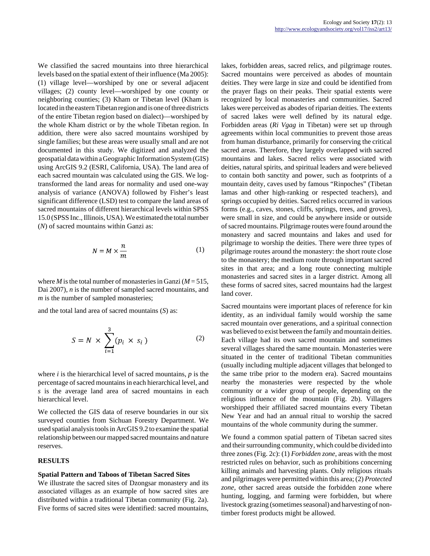We classified the sacred mountains into three hierarchical levels based on the spatial extent of their influence (Ma 2005): (1) village level—worshiped by one or several adjacent villages; (2) county level—worshiped by one county or neighboring counties; (3) Kham or Tibetan level (Kham is located in the eastern Tibetan region and is one of three districts of the entire Tibetan region based on dialect)—worshiped by the whole Kham district or by the whole Tibetan region. In addition, there were also sacred mountains worshiped by single families; but these areas were usually small and are not documented in this study. We digitized and analyzed the geospatial data within a Geographic Information System (GIS) using ArcGIS 9.2 (ESRI, California, USA). The land area of each sacred mountain was calculated using the GIS. We logtransformed the land areas for normality and used one-way analysis of variance (ANOVA) followed by Fisher's least significant difference (LSD) test to compare the land areas of sacred mountains of different hierarchical levels within SPSS 15.0 (SPSS Inc., Illinois, USA). We estimated the total number (*N*) of sacred mountains within Ganzi as:

$$
N = M \times \frac{n}{m} \tag{1}
$$

where *M* is the total number of monasteries in Ganzi ( $M = 515$ , Dai 2007), *n* is the number of sampled sacred mountains, and *m* is the number of sampled monasteries;

and the total land area of sacred mountains (*S*) as:

$$
S = N \times \sum_{i=1}^{3} (p_i \times s_i)
$$
 (2)

where *i* is the hierarchical level of sacred mountains, *p* is the percentage of sacred mountains in each hierarchical level, and *s* is the average land area of sacred mountains in each hierarchical level.

We collected the GIS data of reserve boundaries in our six surveyed counties from Sichuan Forestry Department. We used spatial analysis tools in ArcGIS 9.2 to examine the spatial relationship between our mapped sacred mountains and nature reserves.

#### **RESULTS**

#### **Spatial Pattern and Taboos of Tibetan Sacred Sites**

We illustrate the sacred sites of Dzongsar monastery and its associated villages as an example of how sacred sites are distributed within a traditional Tibetan community (Fig. 2a). Five forms of sacred sites were identified: sacred mountains, lakes, forbidden areas, sacred relics, and pilgrimage routes. Sacred mountains were perceived as abodes of mountain deities. They were large in size and could be identified from the prayer flags on their peaks. Their spatial extents were recognized by local monasteries and communities. Sacred lakes were perceived as abodes of riparian deities. The extents of sacred lakes were well defined by its natural edge. Forbidden areas (*Ri Vgag* in Tibetan) were set up through agreements within local communities to prevent those areas from human disturbance, primarily for conserving the critical sacred areas. Therefore, they largely overlapped with sacred mountains and lakes. Sacred relics were associated with deities, natural spirits, and spiritual leaders and were believed to contain both sanctity and power, such as footprints of a mountain deity, caves used by famous "Rinpoches" (Tibetan lamas and other high-ranking or respected teachers), and springs occupied by deities. Sacred relics occurred in various forms (e.g., caves, stones, cliffs, springs, trees, and groves), were small in size, and could be anywhere inside or outside of sacred mountains. Pilgrimage routes were found around the monastery and sacred mountains and lakes and used for pilgrimage to worship the deities. There were three types of pilgrimage routes around the monastery: the short route close to the monastery; the medium route through important sacred sites in that area; and a long route connecting multiple monasteries and sacred sites in a larger district. Among all these forms of sacred sites, sacred mountains had the largest land cover.

Sacred mountains were important places of reference for kin identity, as an individual family would worship the same sacred mountain over generations, and a spiritual connection was believed to exist between the family and mountain deities. Each village had its own sacred mountain and sometimes several villages shared the same mountain. Monasteries were situated in the center of traditional Tibetan communities (usually including multiple adjacent villages that belonged to the same tribe prior to the modern era). Sacred mountains nearby the monasteries were respected by the whole community or a wider group of people, depending on the religious influence of the mountain (Fig. 2b). Villagers worshipped their affiliated sacred mountains every Tibetan New Year and had an annual ritual to worship the sacred mountains of the whole community during the summer.

We found a common spatial pattern of Tibetan sacred sites and their surrounding community, which could be divided into three zones (Fig. 2c): (1) *Forbidden zone*, areas with the most restricted rules on behavior, such as prohibitions concerning killing animals and harvesting plants. Only religious rituals and pilgrimages were permitted within this area; (2) *Protected zone,* other sacred areas outside the forbidden zone where hunting, logging, and farming were forbidden, but where livestock grazing (sometimes seasonal) and harvesting of nontimber forest products might be allowed.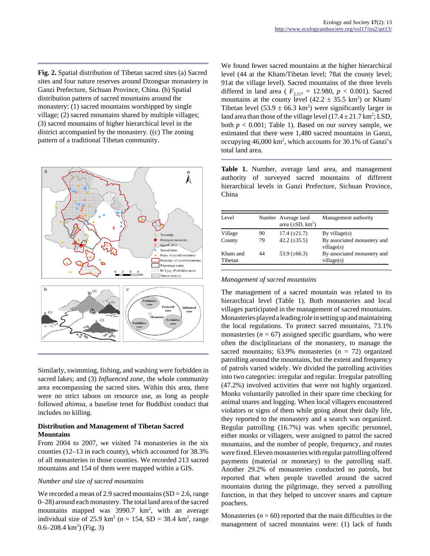**Fig. 2.** Spatial distribution of Tibetan sacred sites (a) Sacred sites and four nature reserves around Dzongsar monastery in Ganzi Prefecture, Sichuan Province, China. (b) Spatial distribution pattern of sacred mountains around the monastery: (1) sacred mountains worshipped by single village; (2) sacred mountains shared by multiple villages; (3) sacred mountains of higher hierarchical level in the district accompanied by the monastery. ((c) The zoning pattern of a traditional Tibetan community.



Similarly, swimming, fishing, and washing were forbidden in sacred lakes; and (3) *Influenced zone,* the whole community area encompassing the sacred sites. Within this area, there were no strict taboos on resource use, as long as people followed *ahimsa,* a baseline tenet for Buddhist conduct that includes no killing.

## **Distribution and Management of Tibetan Sacred Mountains**

From 2004 to 2007, we visited 74 monasteries in the six counties (12–13 in each county), which accounted for 38.3% of all monasteries in those counties. We recorded 213 sacred mountains and 154 of them were mapped within a GIS.

## *Number and size of sacred mountains*

We recorded a mean of 2.9 sacred mountains  $(SD = 2.6$ , range 0–28) around each monastery. The total land area of the sacred mountains mapped was  $3990.7 \text{ km}^2$ , with an average individual size of 25.9 km<sup>2</sup> ( $n = 154$ , SD = 38.4 km<sup>2</sup>, range  $0.6 - 208.4 \text{ km}^2$ ) (Fig. 3)

We found fewer sacred mountains at the higher hierarchical level (44 at the Kham/Tibetan level; 78at the county level; 91at the village level). Sacred mountains of the three levels differed in land area ( $F_{2,117} = 12.980, p < 0.001$ ). Sacred mountains at the county level  $(42.2 \pm 35.5 \text{ km}^2)$  or Kham/ Tibetan level  $(53.9 \pm 66.3 \text{ km}^2)$  were significantly larger in land area than those of the village level  $(17.4 \pm 21.7 \text{ km}^2; \text{LSD},$ both  $p < 0.001$ ; Table 1). Based on our survey sample, we estimated that there were 1,480 sacred mountains in Ganzi, occupying 46,000 km<sup>2</sup>, which accounts for 30.1% of Ganzi's total land area.

**Table 1.** Number, average land area, and management authority of surveyed sacred mountains of different hierarchical levels in Ganzi Prefecture, Sichuan Province, China

| Level               |    | Number Average land<br>area $(\pm SD, km^2)$ | Management authority                      |
|---------------------|----|----------------------------------------------|-------------------------------------------|
| Village             | 90 | $17.4 \ (\pm 21.7)$                          | By village $(s)$                          |
| County              | 79 | 42.2 $(\pm 35.5)$                            | By associated monastery and<br>village(s) |
| Kham and<br>Tibetan | 44 | 53.9 $(\pm 66.3)$                            | By associated monastery and<br>village(s) |

#### *Management of sacred mountains*

The management of a sacred mountain was related to its hierarchical level (Table 1). Both monasteries and local villages participated in the management of sacred mountains. Monasteries played a leading role in setting up and maintaining the local regulations. To protect sacred mountains, 73.1% monasteries  $(n = 67)$  assigned specific guardians, who were often the disciplinarians of the monastery, to manage the sacred mountains; 63.9% monasteries (*n* = 72) organized patrolling around the mountains, but the extent and frequency of patrols varied widely. We divided the patrolling activities into two categories: irregular and regular. Irregular patrolling (47.2%) involved activities that were not highly organized. Monks voluntarily patrolled in their spare time checking for animal snares and logging. When local villagers encountered violators or signs of them while going about their daily life, they reported to the monastery and a search was organized. Regular patrolling (16.7%) was when specific personnel, either monks or villagers, were assigned to patrol the sacred mountains, and the number of people, frequency, and routes were fixed. Eleven monasteries with regular patrolling offered payments (material or monetary) to the patrolling staff. Another 29.2% of monasteries conducted no patrols, but reported that when people travelled around the sacred mountains during the pilgrimage, they served a patrolling function, in that they helped to uncover snares and capture poachers.

Monasteries  $(n = 60)$  reported that the main difficulties in the management of sacred mountains were: (1) lack of funds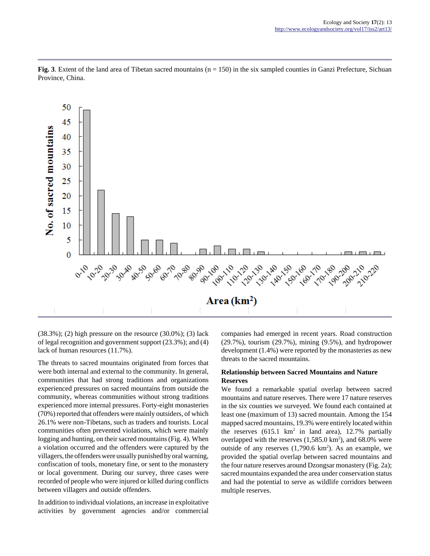

**Fig. 3**. Extent of the land area of Tibetan sacred mountains (n = 150) in the six sampled counties in Ganzi Prefecture, Sichuan Province, China.

 $(38.3\%)$ ; (2) high pressure on the resource  $(30.0\%)$ ; (3) lack of legal recognition and government support (23.3%); and (4) lack of human resources (11.7%).

The threats to sacred mountains originated from forces that were both internal and external to the community. In general, communities that had strong traditions and organizations experienced pressures on sacred mountains from outside the community, whereas communities without strong traditions experienced more internal pressures. Forty-eight monasteries (70%) reported that offenders were mainly outsiders, of which 26.1% were non-Tibetans, such as traders and tourists. Local communities often prevented violations, which were mainly logging and hunting, on their sacred mountains (Fig. 4). When a violation occurred and the offenders were captured by the villagers, the offenders were usually punished by oral warning, confiscation of tools, monetary fine, or sent to the monastery or local government. During our survey, three cases were recorded of people who were injured or killed during conflicts between villagers and outside offenders.

In addition to individual violations, an increase in exploitative activities by government agencies and/or commercial companies had emerged in recent years. Road construction (29.7%), tourism (29.7%), mining (9.5%), and hydropower development (1.4%) were reported by the monasteries as new threats to the sacred mountains.

## **Relationship between Sacred Mountains and Nature Reserves**

We found a remarkable spatial overlap between sacred mountains and nature reserves. There were 17 nature reserves in the six counties we surveyed. We found each contained at least one (maximum of 13) sacred mountain. Among the 154 mapped sacred mountains, 19.3% were entirely located within the reserves  $(615.1 \text{ km}^2 \text{ in land area})$ , 12.7% partially overlapped with the reserves  $(1,585.0 \text{ km}^2)$ , and 68.0% were outside of any reserves  $(1,790.6 \text{ km}^2)$ . As an example, we provided the spatial overlap between sacred mountains and the four nature reserves around Dzongsar monastery (Fig. 2a); sacred mountains expanded the area under conservation status and had the potential to serve as wildlife corridors between multiple reserves.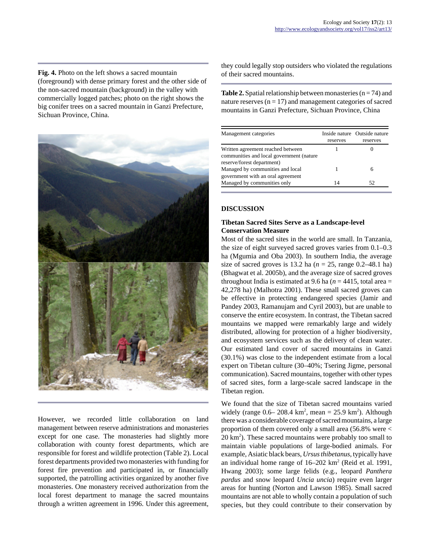**Fig. 4.** Photo on the left shows a sacred mountain (foreground) with dense primary forest and the other side of the non-sacred mountain (background) in the valley with commercially logged patches; photo on the right shows the big conifer trees on a sacred mountain in Ganzi Prefecture, Sichuan Province, China.



However, we recorded little collaboration on land management between reserve administrations and monasteries except for one case. The monasteries had slightly more collaboration with county forest departments, which are responsible for forest and wildlife protection (Table 2). Local forest departments provided two monasteries with funding for forest fire prevention and participated in, or financially supported, the patrolling activities organized by another five monasteries. One monastery received authorization from the local forest department to manage the sacred mountains through a written agreement in 1996. Under this agreement,

they could legally stop outsiders who violated the regulations of their sacred mountains.

**Table 2.** Spatial relationship between monasteries  $(n = 74)$  and nature reserves  $(n = 17)$  and management categories of sacred mountains in Ganzi Prefecture, Sichuan Province, China

| Management categories                                                                                       | reserves | Inside nature Outside nature<br>reserves |
|-------------------------------------------------------------------------------------------------------------|----------|------------------------------------------|
| Written agreement reached between<br>communities and local government (nature<br>reserve/forest department) |          |                                          |
| Managed by communities and local<br>government with an oral agreement                                       |          | h                                        |
| Managed by communities only                                                                                 | 14       | 52                                       |

## **DISCUSSION**

## **Tibetan Sacred Sites Serve as a Landscape-level Conservation Measure**

Most of the sacred sites in the world are small. In Tanzania, the size of eight surveyed sacred groves varies from 0.1–0.3 ha (Mgumia and Oba 2003). In southern India, the average size of sacred groves is 13.2 ha ( $n = 25$ , range 0.2–48.1 ha) (Bhagwat et al. 2005b), and the average size of sacred groves throughout India is estimated at 9.6 ha ( $n = 4415$ , total area  $=$ 42,278 ha) (Malhotra 2001). These small sacred groves can be effective in protecting endangered species (Jamir and Pandey 2003, Ramanujam and Cyril 2003), but are unable to conserve the entire ecosystem. In contrast, the Tibetan sacred mountains we mapped were remarkably large and widely distributed, allowing for protection of a higher biodiversity, and ecosystem services such as the delivery of clean water. Our estimated land cover of sacred mountains in Ganzi (30.1%) was close to the independent estimate from a local expert on Tibetan culture (30–40%; Tsering Jigme, personal communication). Sacred mountains, together with other types of sacred sites, form a large-scale sacred landscape in the Tibetan region.

We found that the size of Tibetan sacred mountains varied widely (range  $0.6 - 208.4 \text{ km}^2$ , mean = 25.9 km<sup>2</sup>). Although there was a considerable coverage of sacred mountains, a large proportion of them covered only a small area (56.8% were < 20 km<sup>2</sup>). These sacred mountains were probably too small to maintain viable populations of large-bodied animals. For example, Asiatic black bears, *Ursus thibetanus*, typically have an individual home range of  $16-202$  km<sup>2</sup> (Reid et al. 1991, Hwang 2003); some large felids (e.g., leopard *Panthera pardus* and snow leopard *Uncia uncia*) require even larger areas for hunting (Norton and Lawson 1985). Small sacred mountains are not able to wholly contain a population of such species, but they could contribute to their conservation by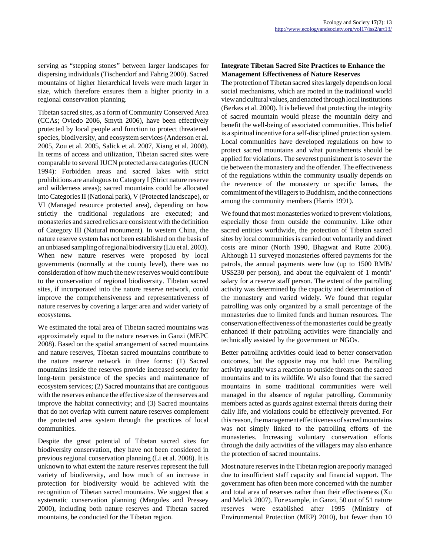serving as "stepping stones" between larger landscapes for dispersing individuals (Tischendorf and Fahrig 2000). Sacred mountains of higher hierarchical levels were much larger in size, which therefore ensures them a higher priority in a regional conservation planning.

Tibetan sacred sites, as a form of Community Conserved Area (CCAs; Oviedo 2006, Smyth 2006), have been effectively protected by local people and function to protect threatened species, biodiversity, and ecosystem services (Anderson et al. 2005, Zou et al. 2005, Salick et al. 2007, Xiang et al. 2008). In terms of access and utilization, Tibetan sacred sites were comparable to several IUCN protected area categories (IUCN 1994): Forbidden areas and sacred lakes with strict prohibitions are analogous to Category I (Strict nature reserve and wilderness areas); sacred mountains could be allocated into Categories II (National park), V (Protected landscape), or VI (Managed resource protected area), depending on how strictly the traditional regulations are executed; and monasteries and sacred relics are consistent with the definition of Category III (Natural monument). In western China, the nature reserve system has not been established on the basis of an unbiased sampling of regional biodiversity (Liu et al. 2003). When new nature reserves were proposed by local governments (normally at the county level), there was no consideration of how much the new reserves would contribute to the conservation of regional biodiversity. Tibetan sacred sites, if incorporated into the nature reserve network, could improve the comprehensiveness and representativeness of nature reserves by covering a larger area and wider variety of ecosystems.

We estimated the total area of Tibetan sacred mountains was approximately equal to the nature reserves in Ganzi (MEPC 2008). Based on the spatial arrangement of sacred mountains and nature reserves, Tibetan sacred mountains contribute to the nature reserve network in three forms: (1) Sacred mountains inside the reserves provide increased security for long-term persistence of the species and maintenance of ecosystem services; (2) Sacred mountains that are contiguous with the reserves enhance the effective size of the reserves and improve the habitat connectivity; and (3) Sacred mountains that do not overlap with current nature reserves complement the protected area system through the practices of local communities.

Despite the great potential of Tibetan sacred sites for biodiversity conservation, they have not been considered in previous regional conservation planning (Li et al. 2008). It is unknown to what extent the nature reserves represent the full variety of biodiversity, and how much of an increase in protection for biodiversity would be achieved with the recognition of Tibetan sacred mountains. We suggest that a systematic conservation planning (Margules and Pressey 2000), including both nature reserves and Tibetan sacred mountains, be conducted for the Tibetan region.

## **Integrate Tibetan Sacred Site Practices to Enhance the Management Effectiveness of Nature Reserves**

The protection of Tibetan sacred sites largely depends on local social mechanisms, which are rooted in the traditional world view and cultural values, and enacted through local institutions (Berkes et al. 2000). It is believed that protecting the integrity of sacred mountain would please the mountain deity and benefit the well-being of associated communities. This belief is a spiritual incentive for a self-disciplined protection system. Local communities have developed regulations on how to protect sacred mountains and what punishments should be applied for violations. The severest punishment is to sever the tie between the monastery and the offender. The effectiveness of the regulations within the community usually depends on the reverence of the monastery or specific lamas, the commitment of the villagers to Buddhism, and the connections among the community members (Harris 1991).

We found that most monasteries worked to prevent violations, especially those from outside the community. Like other sacred entities worldwide, the protection of Tibetan sacred sites by local communities is carried out voluntarily and direct costs are minor (North 1990, Bhagwat and Rutte 2006). Although 11 surveyed monasteries offered payments for the patrols, the annual payments were low (up to 1500 RMB/ US\$230 per person), and about the equivalent of 1 month' salary for a reserve staff person. The extent of the patrolling activity was determined by the capacity and determination of the monastery and varied widely. We found that regular patrolling was only organized by a small percentage of the monasteries due to limited funds and human resources. The conservation effectiveness of the monasteries could be greatly enhanced if their patrolling activities were financially and technically assisted by the government or NGOs.

Better patrolling activities could lead to better conservation outcomes, but the opposite may not hold true. Patrolling activity usually was a reaction to outside threats on the sacred mountains and to its wildlife. We also found that the sacred mountains in some traditional communities were well managed in the absence of regular patrolling. Community members acted as guards against external threats during their daily life, and violations could be effectively prevented. For this reason, the management effectiveness of sacred mountains was not simply linked to the patrolling efforts of the monasteries. Increasing voluntary conservation efforts through the daily activities of the villagers may also enhance the protection of sacred mountains.

Most nature reserves in the Tibetan region are poorly managed due to insufficient staff capacity and financial support. The government has often been more concerned with the number and total area of reserves rather than their effectiveness (Xu and Melick 2007). For example, in Ganzi, 50 out of 51 nature reserves were established after 1995 (Ministry of Environmental Protection (MEP) 2010), but fewer than 10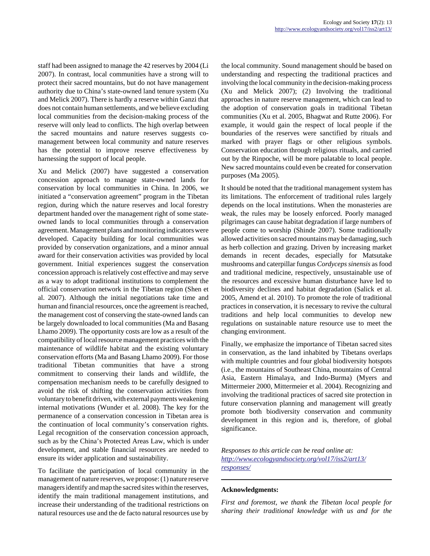staff had been assigned to manage the 42 reserves by 2004 (Li 2007). In contrast, local communities have a strong will to protect their sacred mountains, but do not have management authority due to China's state-owned land tenure system (Xu and Melick 2007). There is hardly a reserve within Ganzi that does not contain human settlements, and we believe excluding local communities from the decision-making process of the reserve will only lead to conflicts. The high overlap between the sacred mountains and nature reserves suggests comanagement between local community and nature reserves has the potential to improve reserve effectiveness by harnessing the support of local people.

Xu and Melick (2007) have suggested a conservation concession approach to manage state-owned lands for conservation by local communities in China. In 2006, we initiated a "conservation agreement" program in the Tibetan region, during which the nature reserves and local forestry department handed over the management right of some stateowned lands to local communities through a conservation agreement. Management plans and monitoring indicators were developed. Capacity building for local communities was provided by conservation organizations, and a minor annual award for their conservation activities was provided by local government. Initial experiences suggest the conservation concession approach is relatively cost effective and may serve as a way to adopt traditional institutions to complement the official conservation network in the Tibetan region (Shen et al. 2007). Although the initial negotiations take time and human and financial resources, once the agreement is reached, the management cost of conserving the state-owned lands can be largely downloaded to local communities (Ma and Basang Lhamo 2009). The opportunity costs are low as a result of the compatibility of local resource management practices with the maintenance of wildlife habitat and the existing voluntary conservation efforts (Ma and Basang Lhamo 2009). For those traditional Tibetan communities that have a strong commitment to conserving their lands and wildlife, the compensation mechanism needs to be carefully designed to avoid the risk of shifting the conservation activities from voluntary to benefit driven, with external payments weakening internal motivations (Wunder et al. 2008). The key for the permanence of a conservation concession in Tibetan area is the continuation of local community's conservation rights. Legal recognition of the conservation concession approach, such as by the China's Protected Areas Law, which is under development, and stable financial resources are needed to ensure its wider application and sustainability.

To facilitate the participation of local community in the management of nature reserves, we propose: (1) nature reserve managers identify and map the sacred sites within the reserves, identify the main traditional management institutions, and increase their understanding of the traditional restrictions on natural resources use and the de facto natural resources use by the local community. Sound management should be based on understanding and respecting the traditional practices and involving the local community in the decision-making process (Xu and Melick 2007); (2) Involving the traditional approaches in nature reserve management, which can lead to the adoption of conservation goals in traditional Tibetan communities (Xu et al. 2005, Bhagwat and Rutte 2006). For example, it would gain the respect of local people if the boundaries of the reserves were sanctified by rituals and marked with prayer flags or other religious symbols. Conservation education through religious rituals, and carried out by the Rinpoche, will be more palatable to local people. New sacred mountains could even be created for conservation purposes (Ma 2005).

It should be noted that the traditional management system has its limitations. The enforcement of traditional rules largely depends on the local institutions. When the monasteries are weak, the rules may be loosely enforced. Poorly managed pilgrimages can cause habitat degradation if large numbers of people come to worship (Shinde 2007). Some traditionally allowed activities on sacred mountains may be damaging, such as herb collection and grazing. Driven by increasing market demands in recent decades, especially for Matsutake mushrooms and caterpillar fungus *Cordyceps sinensis* as food and traditional medicine, respectively, unsustainable use of the resources and excessive human disturbance have led to biodiversity declines and habitat degradation (Salick et al. 2005, Amend et al. 2010). To promote the role of traditional practices in conservation, it is necessary to revive the cultural traditions and help local communities to develop new regulations on sustainable nature resource use to meet the changing environment.

Finally, we emphasize the importance of Tibetan sacred sites in conservation, as the land inhabited by Tibetans overlaps with multiple countries and four global biodiversity hotspots (i.e., the mountains of Southeast China, mountains of Central Asia, Eastern Himalaya, and Indo-Burma) (Myers and Mittermeier 2000, Mittermeier et al. 2004). Recognizing and involving the traditional practices of sacred site protection in future conservation planning and management will greatly promote both biodiversity conservation and community development in this region and is, therefore, of global significance.

*Responses to this article can be read online at: [http://www](http://www.ecologyandsociety.org/vol17/iss2/art13/responses/).ecologyandsociety.org/vol17/iss2/art13/ responses/*

#### **Acknowledgments:**

*First and foremost, we thank the Tibetan local people for sharing their traditional knowledge with us and for the*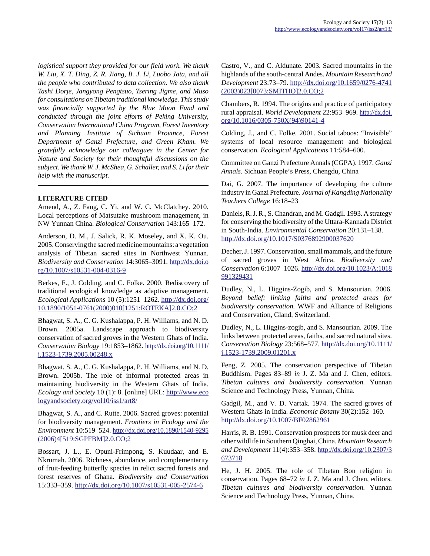*logistical support they provided for our field work. We thank W. Liu, X. T. Ding, Z. R. Jiang, B. J. Li, Luobo Jata, and all the people who contributed to data collection. We also thank Tashi Dorje, Jangyong Pengtsuo, Tsering Jigme, and Muso for consultations on Tibetan traditional knowledge. This study was financially supported by the Blue Moon Fund and conducted through the joint efforts of Peking University, Conservation International China Program, Forest Inventory and Planning Institute of Sichuan Province, Forest Department of Ganzi Prefecture, and Green Kham. We gratefully acknowledge our colleagues in the Center for Nature and Society for their thoughtful discussions on the subject. We thank W. J. McShea, G. Schaller, and S. Li for their help with the manuscript.*

## **LITERATURE CITED**

Amend, A., Z. Fang, C. Yi, and W. C. McClatchey. 2010. Local perceptions of Matsutake mushroom management, in NW Yunnan China. *Biological Conservation* 143:165–172.

Anderson, D. M., J. Salick, R. K. Moseley, and X. K. Ou. 2005. Conserving the sacred medicine mountains: a vegetation analysis of Tibetan sacred sites in Northwest Yunnan. *Biodiversity and Conservation* 14:3065–3091. [http://dx.doi.o](http://dx.doi.org/10.1007/s10531-004-0316-9) [rg/10.1007/s10531-004-0316-9](http://dx.doi.org/10.1007/s10531-004-0316-9)

Berkes, F., J. Colding, and C. Folke. 2000. Rediscovery of traditional ecological knowledge as adaptive management. *Ecological Applications* 10 (5):1251–1262. [http://dx.doi.org/](http://dx.doi.org/10.1890/1051-0761(2000)010[1251:ROTEKA]2.0.CO;2) [10.1890/1051-0761\(2000\)010\[1251:ROTEKA\]2.0.CO;2](http://dx.doi.org/10.1890/1051-0761(2000)010[1251:ROTEKA]2.0.CO;2)

Bhagwat, S. A., C. G. Kushalappa, P. H. Williams, and N. D. Brown. 2005a. Landscape approach to biodiversity conservation of sacred groves in the Western Ghats of India. *Conservation Biology* 19:1853–1862. [http://dx.doi.org/10.1111/](http://dx.doi.org/10.1111/j.1523-1739.2005.00248.x) [j.1523-1739.2005.00248.x](http://dx.doi.org/10.1111/j.1523-1739.2005.00248.x)

Bhagwat, S. A., C. G. Kushalappa, P. H. Williams, and N. D. Brown. 2005b. The role of informal protected areas in maintaining biodiversity in the Western Ghats of India. *Ecology and Society* 10 (1): 8. [online] URL: [http://www.eco](http://www.ecologyandsociety.org/vol10/iss1/art8/) [logyandsociety.org/vol10/iss1/art8/](http://www.ecologyandsociety.org/vol10/iss1/art8/)

Bhagwat, S. A., and C. Rutte. 2006. Sacred groves: potential for biodiversity management. *Frontiers in Ecology and the Environment* 10:519–524. [http://dx.doi.org/10.1890/1540-9295](http://dx.doi.org/10.1890/1540-9295(2006)4[519:SGPFBM]2.0.CO;2) [\(2006\)4\[519:SGPFBM\]2.0.CO;2](http://dx.doi.org/10.1890/1540-9295(2006)4[519:SGPFBM]2.0.CO;2)

Bossart, J. L., E. Opuni-Frimpong, S. Kuudaar, and E. Nkrumah. 2006. Richness, abundance, and complementarity of fruit-feeding butterfly species in relict sacred forests and forest reserves of Ghana. *Biodiversity and Conservation* 15:333–359. <http://dx.doi.org/10.1007/s10531-005-2574-6>

Castro, V., and C. Aldunate. 2003. Sacred mountains in the highlands of the south-central Andes. *Mountain Research and Development* 23:73–79. [http://dx.doi.org/10.1659/0276-4741](http://dx.doi.org/10.1659/0276-4741(2003)023[0073:SMITHO]2.0.CO;2) [\(2003\)023\[0073:SMITHO\]2.0.CO;2](http://dx.doi.org/10.1659/0276-4741(2003)023[0073:SMITHO]2.0.CO;2)

Chambers, R. 1994. The origins and practice of participatory rural appraisal. *World Development* 22:953–969. [http://dx.doi.](http://dx.doi.org/10.1016/0305-750X(94)90141-4) [org/10.1016/0305-750X\(94\)90141-4](http://dx.doi.org/10.1016/0305-750X(94)90141-4)

Colding, J., and C. Folke. 2001. Social taboos: "Invisible" systems of local resource management and biological conservation. *Ecological Applications* 11:584–600.

Committee on Ganzi Prefecture Annals (CGPA). 1997. *Ganzi Annals.* Sichuan People's Press, Chengdu, China

Dai, G. 2007. The importance of developing the culture industry in Ganzi Prefecture. *Journal of Kangding Nationality Teachers College* 16:18–23

Daniels, R. J. R., S. Chandran, and M. Gadgil. 1993. A strategy for conserving the biodiversity of the Uttara-Kannada District in South-India. *Environmental Conservation* 20:131–138. <http://dx.doi.org/10.1017/S0376892900037620>

Decher, J. 1997. Conservation, small mammals, and the future of sacred groves in West Africa. *Biodiversity and Conservation* 6:1007–1026. [http://dx.doi.org/10.1023/A:1018](http://dx.doi.org/10.1023/A:1018991329431) [991329431](http://dx.doi.org/10.1023/A:1018991329431)

Dudley, N., L. Higgins-Zogib, and S. Mansourian. 2006. *Beyond belief: linking faiths and protected areas for biodiversity conservation.* WWF and Alliance of Religions and Conservation, Gland, Switzerland.

Dudley, N., L. Higgins-zogib, and S. Mansourian. 2009. The links between protected areas, faiths, and sacred natural sites. *Conservation Biology* 23:568–577. [http://dx.doi.org/10.1111/](http://dx.doi.org/10.1111/j.1523-1739.2009.01201.x) [j.1523-1739.2009.01201.x](http://dx.doi.org/10.1111/j.1523-1739.2009.01201.x)

Feng, Z. 2005. The conservation perspective of Tibetan Buddhism. Pages 83–89 *in* J. Z. Ma and J. Chen, editors. *Tibetan cultures and biodiversity conservation.* Yunnan Science and Technology Press, Yunnan, China.

Gadgil, M., and V. D. Vartak. 1974. The sacred groves of Western Ghats in India. *Economic Botany* 30(2):152–160. <http://dx.doi.org/10.1007/BF02862961>

Harris, R. B. 1991. Conservation prospects for musk deer and other wildlife in Southern Qinghai, China. *Mountain Research and Development* 11(4):353–358. [http://dx.doi.org/10.2307/3](http://dx.doi.org/10.2307/3673718) [673718](http://dx.doi.org/10.2307/3673718)

He, J. H. 2005. The role of Tibetan Bon religion in conservation. Pages 68–72 *in* J. Z. Ma and J. Chen, editors. *Tibetan cultures and biodiversity conservation.* Yunnan Science and Technology Press, Yunnan, China.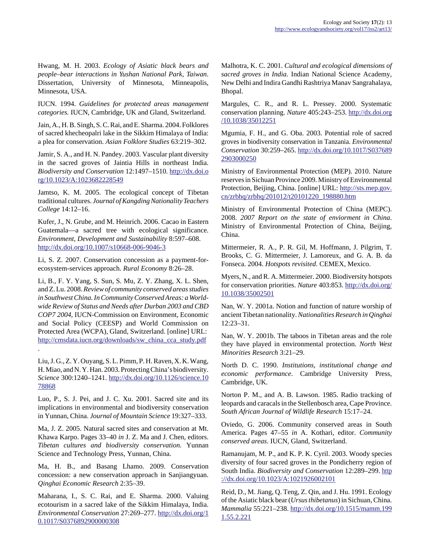Hwang, M. H. 2003. *Ecology of Asiatic black bears and people–bear interactions in Yushan National Park, Taiwan*. Dissertation, University of Minnesota, Minneapolis, Minnesota, USA.

IUCN. 1994. *Guidelines for protected areas management categories.* IUCN, Cambridge, UK and Gland, Switzerland.

Jain, A., H. B. Singh, S. C. Rai, and E. Sharma. 2004. Folklores of sacred khecheopalri lake in the Sikkim Himalaya of India: a plea for conservation. *Asian Folklore Studies* 63:219–302.

Jamir, S. A., and H. N. Pandey. 2003. Vascular plant diversity in the sacred groves of Jaintia Hills in northeast India. *Biodiversity and Conservation* 12:1497–1510. [http://dx.doi.o](http://dx.doi.org/10.1023/A:1023682228549) [rg/10.1023/A:1023682228549](http://dx.doi.org/10.1023/A:1023682228549)

Jamtso, K. M. 2005. The ecological concept of Tibetan traditional cultures. *Journal of Kangding Nationality Teachers College* 14:12–16.

Kufer, J., N. Grube, and M. Heinrich. 2006. Cacao in Eastern Guatemala—a sacred tree with ecological significance. *Environment, Development and Sustainability* 8:597–608. <http://dx.doi.org/10.1007/s10668-006-9046-3>

Li, S. Z. 2007. Conservation concession as a payment-forecosystem-services approach. *Rural Economy* 8:26–28.

Li, B., F. Y. Yang, S. Sun, S. Mu, Z. Y. Zhang, X. L. Shen, and Z. Lu. 2008. *Review of community conserved areas studies* in Southwest China. In Community Conserved Areas: a World*wide Review of Status and Needs after Durban 2003 and CBD COP7 2004*, IUCN-Commission on Environment, Economic and Social Policy (CEESP) and World Commission on Protected Area (WCPA), Gland, Switzerland. [online] URL: [http://cmsdata.iucn.org/downloads/sw\\_china\\_cca\\_study.pdf](http://cmsdata.iucn.org/downloads/sw_china_cca_study.pdf)

Liu, J. G., Z. Y. Ouyang, S. L. Pimm, P. H. Raven, X. K. Wang, H. Miao, and N. Y. Han. 2003. Protecting China's biodiversity. *Science* 300:1240–1241. [http://dx.doi.org/10.1126/science.10](http://dx.doi.org/10.1126/science.1078868) [78868](http://dx.doi.org/10.1126/science.1078868)

.

Luo, P., S. J. Pei, and J. C. Xu. 2001. Sacred site and its implications in environmental and biodiversity conservation in Yunnan, China. *Journal of Mountain Science* 19:327–333.

Ma, J. Z. 2005. Natural sacred sites and conservation at Mt. Khawa Karpo. Pages 33–40 *in* J. Z. Ma and J. Chen, editors. *Tibetan cultures and biodiversity conservation.* Yunnan Science and Technology Press, Yunnan, China.

Ma, H. B., and Basang Lhamo. 2009. Conservation concession: a new conservation approach in Sanjiangyuan. *Qinghai Economic Research* 2:35–39.

Maharana, I., S. C. Rai, and E. Sharma. 2000. Valuing ecotourism in a sacred lake of the Sikkim Himalaya, India. *Environmental Conservation* 27:269–277. [http://dx.doi.org/1](http://dx.doi.org/10.1017/S0376892900000308) [0.1017/S0376892900000308](http://dx.doi.org/10.1017/S0376892900000308)

Malhotra, K. C. 2001. *Cultural and ecological dimensions of sacred groves in India.* Indian National Science Academy, New Delhi and Indira Gandhi Rashtriya Manav Sangrahalaya, Bhopal.

Margules, C. R., and R. L. Pressey. 2000. Systematic conservation planning. *Nature* 405:243–253. [http://dx.doi.org](http://dx.doi.org/10.1038/35012251) [/10.1038/35012251](http://dx.doi.org/10.1038/35012251)

Mgumia, F. H., and G. Oba. 2003. Potential role of sacred groves in biodiversity conservation in Tanzania. *Environmental Conservation* 30:259–265. [http://dx.doi.org/10.1017/S037689](http://dx.doi.org/10.1017/S0376892903000250) [2903000250](http://dx.doi.org/10.1017/S0376892903000250)

Ministry of Environmental Protection (MEP). 2010. Nature reserves in Sichuan Province 2009. Ministry of Environmental Protection, Beijing, China. [online] URL: [http://sts.mep.gov.](http://sts.mep.gov.cn/zrbhq/zrbhq/201012/t20101220_198880.htm) [cn/zrbhq/zrbhq/201012/t20101220\\_198880.htm](http://sts.mep.gov.cn/zrbhq/zrbhq/201012/t20101220_198880.htm)

Ministry of Environmental Protection of China (MEPC). 2008. *2007 Report on the state of enviorment in China*. Ministry of Environmental Protection of China, Beijing, China.

Mittermeier, R. A., P. R. Gil, M. Hoffmann, J. Pilgrim, T. Brooks, C. G. Mittermeier, J. Lamoreux, and G. A. B. da Fonseca. 2004. *Hotspots revisited*. CEMEX, Mexico.

Myers, N., and R. A. Mittermeier. 2000. Biodiversity hotspots for conservation priorities. *Nature* 403:853. [http://dx.doi.org/](http://dx.doi.org/10.1038/35002501) [10.1038/35002501](http://dx.doi.org/10.1038/35002501)

Nan, W. Y. 2001a. Notion and function of nature worship of ancient Tibetan nationality. *Nationalities Research in Qinghai* 12:23–31.

Nan, W. Y. 2001b. The taboos in Tibetan areas and the role they have played in environmental protection. *North West Minorities Research* 3:21–29.

North D. C. 1990. *Institutions, institutional change and economic performance*. Cambridge University Press, Cambridge, UK.

Norton P. M., and A. B. Lawson. 1985. Radio tracking of leopards and caracals in the Stellenbosch area, Cape Province. *South African Journal of Wildlife Research* 15:17–24.

Oviedo, G. 2006. Community conserved areas in South America. Pages 47–55 *in* A. Kothari, editor. *Community conserved areas*. IUCN, Gland, Switzerland.

Ramanujam, M. P., and K. P. K. Cyril. 2003. Woody species diversity of four sacred groves in the Pondicherry region of South India. *Biodiversity and Conservation* 12:289–299. [http](http://dx.doi.org/10.1023/A:1021926002101) [://dx.doi.org/10.1023/A:1021926002101](http://dx.doi.org/10.1023/A:1021926002101)

Reid, D., M. Jiang, Q. Teng, Z. Qin, and J. Hu. 1991. Ecology of the Asiatic black bear (*Ursus thibetanus*) in Sichuan, China. *Mammalia* 55:221–238. [http://dx.doi.org/10.1515/mamm.199](http://dx.doi.org/10.1515/mamm.1991.55.2.221) [1.55.2.221](http://dx.doi.org/10.1515/mamm.1991.55.2.221)